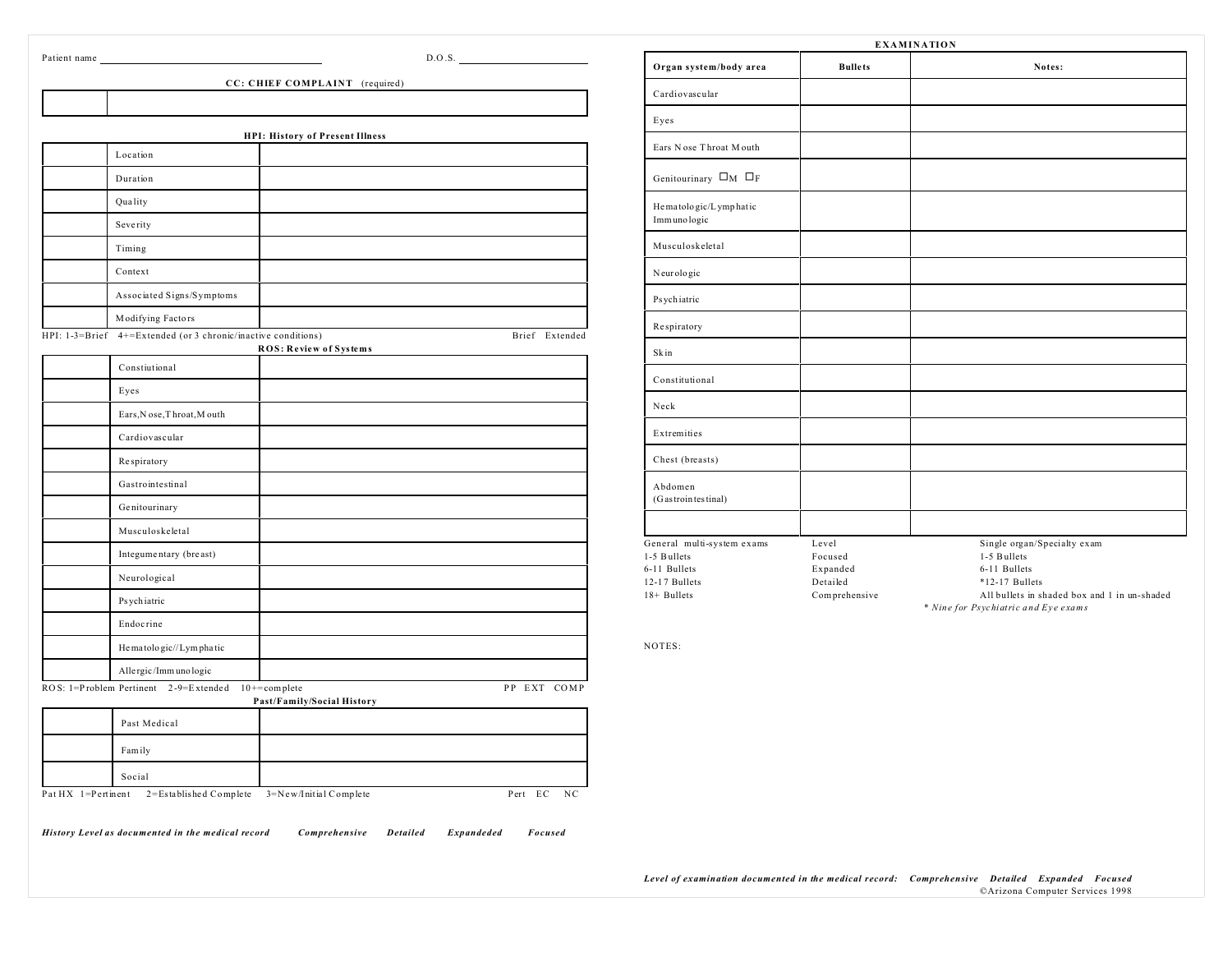| Patient name |  |
|--------------|--|

| Patient name         |                                                               |                                        | D.O.S.         |
|----------------------|---------------------------------------------------------------|----------------------------------------|----------------|
|                      |                                                               | CC: CHIEF COMPLAINT (required)         |                |
|                      |                                                               |                                        |                |
|                      |                                                               |                                        |                |
|                      | Location                                                      | <b>HPI: History of Present Illness</b> |                |
|                      | Duration                                                      |                                        |                |
|                      | Quality                                                       |                                        |                |
|                      | Severity                                                      |                                        |                |
|                      | Timing                                                        |                                        |                |
|                      | Context                                                       |                                        |                |
|                      | Associated Signs/Symptoms                                     |                                        |                |
|                      | Modifying Factors                                             |                                        |                |
|                      | HPI: 1-3=Brief 4+=Extended (or 3 chronic/inactive conditions) | ROS: Review of Systems                 | Brief Extended |
|                      | Constiutional                                                 |                                        |                |
|                      | Eyes                                                          |                                        |                |
|                      | Ears, N ose, T hroat, M outh                                  |                                        |                |
|                      | Cardiovascular                                                |                                        |                |
|                      | Respiratory                                                   |                                        |                |
|                      | Gastrointestinal                                              |                                        |                |
|                      | Genitourinary                                                 |                                        |                |
|                      | Musculoskeletal                                               |                                        |                |
|                      | Integumentary (breast)                                        |                                        |                |
|                      | Neurological                                                  |                                        |                |
|                      | Ps ychiatric                                                  |                                        |                |
|                      | Endocrine                                                     |                                        |                |
|                      | He matologic//Lymphatic                                       |                                        |                |
|                      | Allergic/Immunologic                                          |                                        |                |
|                      | ROS: 1=Problem Pertinent 2-9=Extended 10+=complete            | Past/Family/Social History             | PP EXT COMP    |
|                      | Past Medical                                                  |                                        |                |
|                      | Fam ily                                                       |                                        |                |
|                      | Social                                                        |                                        |                |
| Pat $HX$ 1=Pertinent | 2=Established Complete                                        | 3=New/Initial Complete                 | Pert EC<br>NC  |

| <b>EXAMINATION</b>                    |                     |                                                                                      |  |  |
|---------------------------------------|---------------------|--------------------------------------------------------------------------------------|--|--|
| Organ system/body area                | <b>Bullets</b>      | Notes:                                                                               |  |  |
| Cardiovascular                        |                     |                                                                                      |  |  |
| Eyes                                  |                     |                                                                                      |  |  |
| Ears Nose Throat Mouth                |                     |                                                                                      |  |  |
| Genitourinary $\square_M \square_F$   |                     |                                                                                      |  |  |
| He matologic/Lymphatic<br>Immunologic |                     |                                                                                      |  |  |
| Musculoskeletal                       |                     |                                                                                      |  |  |
| Neurologic                            |                     |                                                                                      |  |  |
| Psychiatric                           |                     |                                                                                      |  |  |
| Respiratory                           |                     |                                                                                      |  |  |
| Skin                                  |                     |                                                                                      |  |  |
| Constitutional                        |                     |                                                                                      |  |  |
| Neck                                  |                     |                                                                                      |  |  |
| Extremities                           |                     |                                                                                      |  |  |
| Chest (breasts)                       |                     |                                                                                      |  |  |
| Abdomen<br>(Gastrointestinal)         |                     |                                                                                      |  |  |
| General multi-system exams            | Level               | Single organ/Specialty exam                                                          |  |  |
| 1-5 Bullets<br>6-11 Bullets           | Focused<br>Expanded | 1-5 Bullets<br>6-11 Bullets                                                          |  |  |
| 12-17 Bullets                         | Detailed            | $*12-17$ Bullets                                                                     |  |  |
| 18+ Bullets                           | Comprehensive       | All bullets in shaded box and 1 in un-shaded<br>* Nine for Psychiatric and Eye exams |  |  |

NOTES: